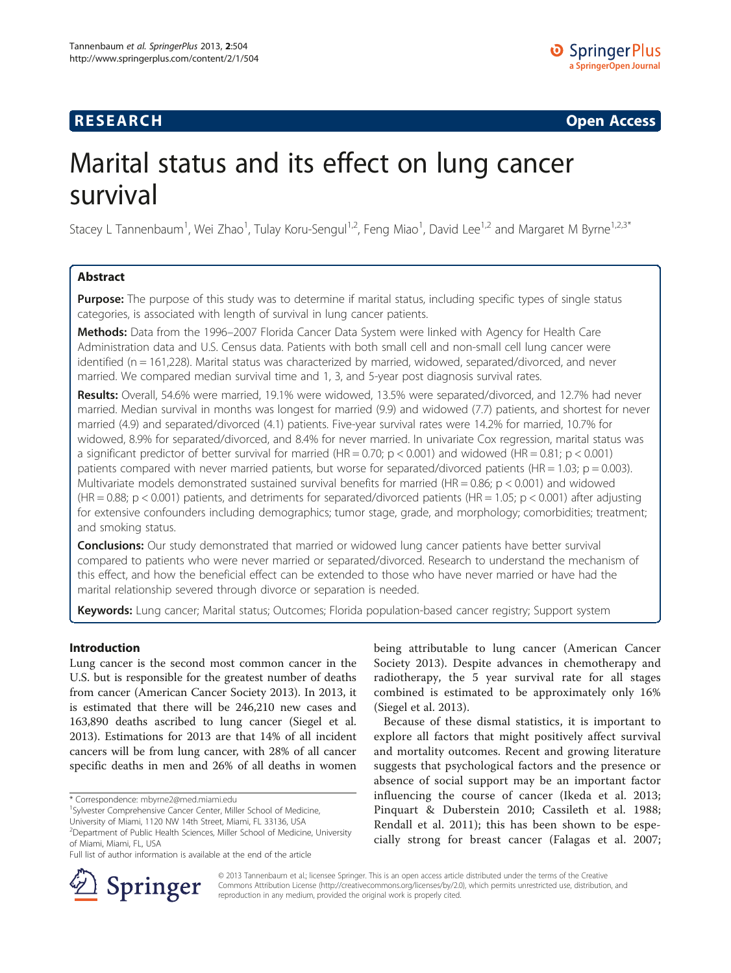# **RESEARCH RESEARCH CONSUMING ACCESS**

# Marital status and its effect on lung cancer survival

Stacey L Tannenbaum<sup>1</sup>, Wei Zhao<sup>1</sup>, Tulay Koru-Sengul<sup>1,2</sup>, Feng Miao<sup>1</sup>, David Lee<sup>1,2</sup> and Margaret M Byrne<sup>1,2,3\*</sup>

# Abstract

**Purpose:** The purpose of this study was to determine if marital status, including specific types of single status categories, is associated with length of survival in lung cancer patients.

Methods: Data from the 1996-2007 Florida Cancer Data System were linked with Agency for Health Care Administration data and U.S. Census data. Patients with both small cell and non-small cell lung cancer were identified (n = 161,228). Marital status was characterized by married, widowed, separated/divorced, and never married. We compared median survival time and 1, 3, and 5-year post diagnosis survival rates.

Results: Overall, 54.6% were married, 19.1% were widowed, 13.5% were separated/divorced, and 12.7% had never married. Median survival in months was longest for married (9.9) and widowed (7.7) patients, and shortest for never married (4.9) and separated/divorced (4.1) patients. Five-year survival rates were 14.2% for married, 10.7% for widowed, 8.9% for separated/divorced, and 8.4% for never married. In univariate Cox regression, marital status was a significant predictor of better survival for married (HR =  $0.70$ ; p <  $0.001$ ) and widowed (HR =  $0.81$ ; p <  $0.001$ ) patients compared with never married patients, but worse for separated/divorced patients (HR = 1.03;  $p = 0.003$ ). Multivariate models demonstrated sustained survival benefits for married (HR = 0.86;  $p < 0.001$ ) and widowed (HR =  $0.88$ ; p <  $0.001$ ) patients, and detriments for separated/divorced patients (HR =  $1.05$ ; p <  $0.001$ ) after adjusting for extensive confounders including demographics; tumor stage, grade, and morphology; comorbidities; treatment; and smoking status.

**Conclusions:** Our study demonstrated that married or widowed lung cancer patients have better survival compared to patients who were never married or separated/divorced. Research to understand the mechanism of this effect, and how the beneficial effect can be extended to those who have never married or have had the marital relationship severed through divorce or separation is needed.

Keywords: Lung cancer; Marital status; Outcomes; Florida population-based cancer registry; Support system

# Introduction

Lung cancer is the second most common cancer in the U.S. but is responsible for the greatest number of deaths from cancer (American Cancer Society [2013\)](#page-8-0). In 2013, it is estimated that there will be 246,210 new cases and 163,890 deaths ascribed to lung cancer (Siegel et al. [2013](#page-9-0)). Estimations for 2013 are that 14% of all incident cancers will be from lung cancer, with 28% of all cancer specific deaths in men and 26% of all deaths in women

being attributable to lung cancer (American Cancer Society [2013](#page-8-0)). Despite advances in chemotherapy and radiotherapy, the 5 year survival rate for all stages combined is estimated to be approximately only 16% (Siegel et al. [2013](#page-9-0)).

Because of these dismal statistics, it is important to explore all factors that might positively affect survival and mortality outcomes. Recent and growing literature suggests that psychological factors and the presence or absence of social support may be an important factor influencing the course of cancer (Ikeda et al. [2013](#page-8-0); Pinquart & Duberstein [2010;](#page-9-0) Cassileth et al. [1988](#page-8-0); Rendall et al. [2011](#page-9-0)); this has been shown to be especially strong for breast cancer (Falagas et al. [2007](#page-8-0);



© 2013 Tannenbaum et al.; licensee Springer. This is an open access article distributed under the terms of the Creative Commons Attribution License (<http://creativecommons.org/licenses/by/2.0>), which permits unrestricted use, distribution, and reproduction in any medium, provided the original work is properly cited.

<sup>\*</sup> Correspondence: [mbyrne2@med.miami.edu](mailto:mbyrne2@med.miami.edu) <sup>1</sup>

<sup>&</sup>lt;sup>1</sup>Sylvester Comprehensive Cancer Center, Miller School of Medicine,

University of Miami, 1120 NW 14th Street, Miami, FL 33136, USA

<sup>&</sup>lt;sup>2</sup>Department of Public Health Sciences, Miller School of Medicine, University of Miami, Miami, FL, USA

Full list of author information is available at the end of the article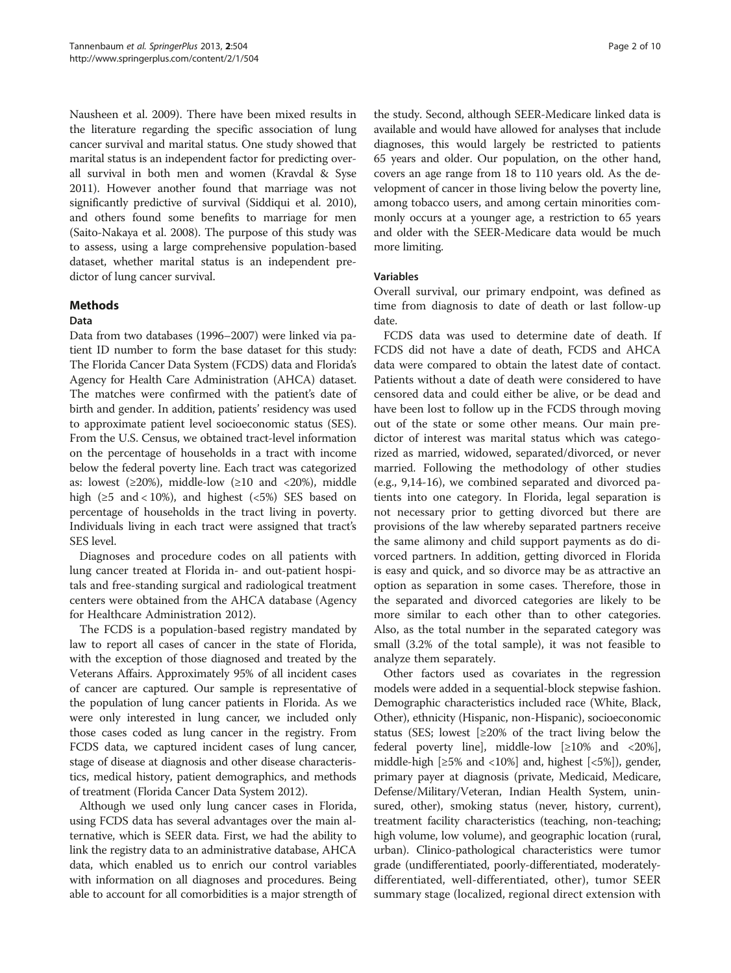Nausheen et al. [2009](#page-8-0)). There have been mixed results in the literature regarding the specific association of lung cancer survival and marital status. One study showed that marital status is an independent factor for predicting overall survival in both men and women (Kravdal & Syse [2011\)](#page-8-0). However another found that marriage was not significantly predictive of survival (Siddiqui et al. [2010](#page-9-0)), and others found some benefits to marriage for men (Saito-Nakaya et al. [2008](#page-9-0)). The purpose of this study was to assess, using a large comprehensive population-based dataset, whether marital status is an independent predictor of lung cancer survival.

# Methods

# Data

Data from two databases (1996–2007) were linked via patient ID number to form the base dataset for this study: The Florida Cancer Data System (FCDS) data and Florida's Agency for Health Care Administration (AHCA) dataset. The matches were confirmed with the patient's date of birth and gender. In addition, patients' residency was used to approximate patient level socioeconomic status (SES). From the U.S. Census, we obtained tract-level information on the percentage of households in a tract with income below the federal poverty line. Each tract was categorized as: lowest  $(\geq 20\%)$ , middle-low  $(\geq 10$  and  $\lt 20\%)$ , middle high ( $\geq$ 5 and < 10%), and highest (<5%) SES based on percentage of households in the tract living in poverty. Individuals living in each tract were assigned that tract's SES level.

Diagnoses and procedure codes on all patients with lung cancer treated at Florida in- and out-patient hospitals and free-standing surgical and radiological treatment centers were obtained from the AHCA database (Agency for Healthcare Administration [2012](#page-8-0)).

The FCDS is a population-based registry mandated by law to report all cases of cancer in the state of Florida, with the exception of those diagnosed and treated by the Veterans Affairs. Approximately 95% of all incident cases of cancer are captured. Our sample is representative of the population of lung cancer patients in Florida. As we were only interested in lung cancer, we included only those cases coded as lung cancer in the registry. From FCDS data, we captured incident cases of lung cancer, stage of disease at diagnosis and other disease characteristics, medical history, patient demographics, and methods of treatment (Florida Cancer Data System [2012](#page-8-0)).

Although we used only lung cancer cases in Florida, using FCDS data has several advantages over the main alternative, which is SEER data. First, we had the ability to link the registry data to an administrative database, AHCA data, which enabled us to enrich our control variables with information on all diagnoses and procedures. Being able to account for all comorbidities is a major strength of

the study. Second, although SEER-Medicare linked data is available and would have allowed for analyses that include diagnoses, this would largely be restricted to patients 65 years and older. Our population, on the other hand, covers an age range from 18 to 110 years old. As the development of cancer in those living below the poverty line, among tobacco users, and among certain minorities commonly occurs at a younger age, a restriction to 65 years and older with the SEER-Medicare data would be much more limiting.

# Variables

Overall survival, our primary endpoint, was defined as time from diagnosis to date of death or last follow-up date.

FCDS data was used to determine date of death. If FCDS did not have a date of death, FCDS and AHCA data were compared to obtain the latest date of contact. Patients without a date of death were considered to have censored data and could either be alive, or be dead and have been lost to follow up in the FCDS through moving out of the state or some other means. Our main predictor of interest was marital status which was categorized as married, widowed, separated/divorced, or never married. Following the methodology of other studies (e.g., 9,14-16), we combined separated and divorced patients into one category. In Florida, legal separation is not necessary prior to getting divorced but there are provisions of the law whereby separated partners receive the same alimony and child support payments as do divorced partners. In addition, getting divorced in Florida is easy and quick, and so divorce may be as attractive an option as separation in some cases. Therefore, those in the separated and divorced categories are likely to be more similar to each other than to other categories. Also, as the total number in the separated category was small (3.2% of the total sample), it was not feasible to analyze them separately.

Other factors used as covariates in the regression models were added in a sequential-block stepwise fashion. Demographic characteristics included race (White, Black, Other), ethnicity (Hispanic, non-Hispanic), socioeconomic status (SES; lowest  $[≥20%$  of the tract living below the federal poverty line], middle-low  $\lfloor \geq 10\% \rfloor$  and  $\lt 20\%$ ], middle-high [≥5% and <10%] and, highest [<5%]), gender, primary payer at diagnosis (private, Medicaid, Medicare, Defense/Military/Veteran, Indian Health System, uninsured, other), smoking status (never, history, current), treatment facility characteristics (teaching, non-teaching; high volume, low volume), and geographic location (rural, urban). Clinico-pathological characteristics were tumor grade (undifferentiated, poorly-differentiated, moderatelydifferentiated, well-differentiated, other), tumor SEER summary stage (localized, regional direct extension with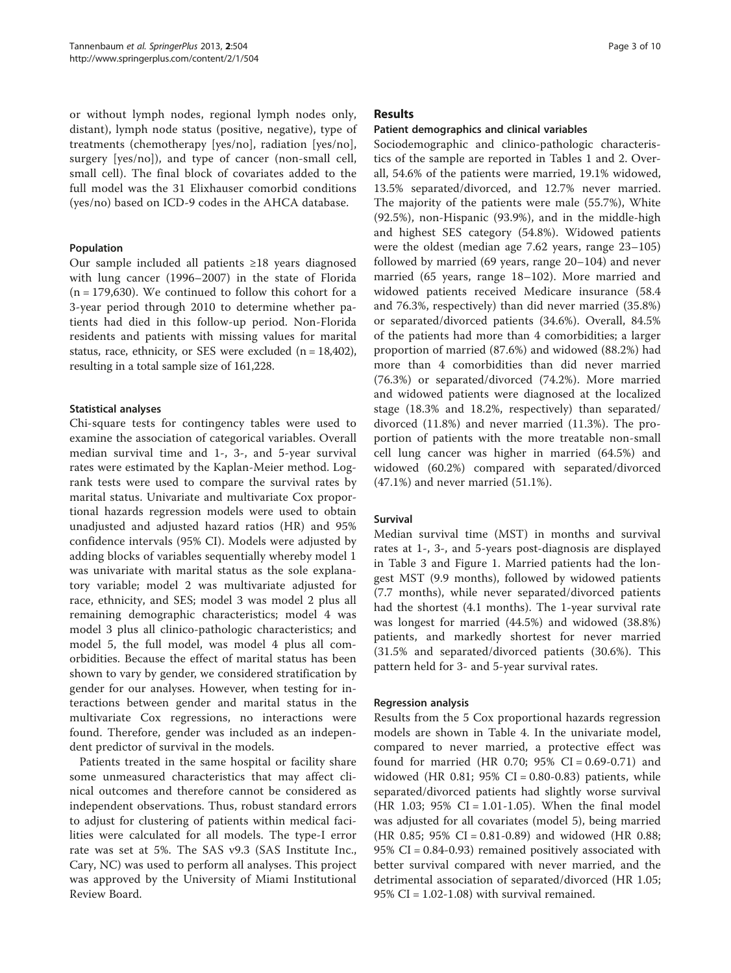or without lymph nodes, regional lymph nodes only, distant), lymph node status (positive, negative), type of treatments (chemotherapy [yes/no], radiation [yes/no], surgery [yes/no]), and type of cancer (non-small cell, small cell). The final block of covariates added to the full model was the 31 Elixhauser comorbid conditions (yes/no) based on ICD-9 codes in the AHCA database.

## Population

Our sample included all patients ≥18 years diagnosed with lung cancer (1996–2007) in the state of Florida  $(n = 179,630)$ . We continued to follow this cohort for a 3-year period through 2010 to determine whether patients had died in this follow-up period. Non-Florida residents and patients with missing values for marital status, race, ethnicity, or SES were excluded  $(n = 18,402)$ , resulting in a total sample size of 161,228.

## Statistical analyses

Chi-square tests for contingency tables were used to examine the association of categorical variables. Overall median survival time and 1-, 3-, and 5-year survival rates were estimated by the Kaplan-Meier method. Logrank tests were used to compare the survival rates by marital status. Univariate and multivariate Cox proportional hazards regression models were used to obtain unadjusted and adjusted hazard ratios (HR) and 95% confidence intervals (95% CI). Models were adjusted by adding blocks of variables sequentially whereby model 1 was univariate with marital status as the sole explanatory variable; model 2 was multivariate adjusted for race, ethnicity, and SES; model 3 was model 2 plus all remaining demographic characteristics; model 4 was model 3 plus all clinico-pathologic characteristics; and model 5, the full model, was model 4 plus all comorbidities. Because the effect of marital status has been shown to vary by gender, we considered stratification by gender for our analyses. However, when testing for interactions between gender and marital status in the multivariate Cox regressions, no interactions were found. Therefore, gender was included as an independent predictor of survival in the models.

Patients treated in the same hospital or facility share some unmeasured characteristics that may affect clinical outcomes and therefore cannot be considered as independent observations. Thus, robust standard errors to adjust for clustering of patients within medical facilities were calculated for all models. The type-I error rate was set at 5%. The SAS v9.3 (SAS Institute Inc., Cary, NC) was used to perform all analyses. This project was approved by the University of Miami Institutional Review Board.

## Results

## Patient demographics and clinical variables

Sociodemographic and clinico-pathologic characteristics of the sample are reported in Tables [1](#page-3-0) and [2](#page-5-0). Overall, 54.6% of the patients were married, 19.1% widowed, 13.5% separated/divorced, and 12.7% never married. The majority of the patients were male (55.7%), White (92.5%), non-Hispanic (93.9%), and in the middle-high and highest SES category (54.8%). Widowed patients were the oldest (median age 7.62 years, range 23–105) followed by married (69 years, range 20–104) and never married (65 years, range 18–102). More married and widowed patients received Medicare insurance (58.4 and 76.3%, respectively) than did never married (35.8%) or separated/divorced patients (34.6%). Overall, 84.5% of the patients had more than 4 comorbidities; a larger proportion of married (87.6%) and widowed (88.2%) had more than 4 comorbidities than did never married (76.3%) or separated/divorced (74.2%). More married and widowed patients were diagnosed at the localized stage (18.3% and 18.2%, respectively) than separated/ divorced (11.8%) and never married (11.3%). The proportion of patients with the more treatable non-small cell lung cancer was higher in married (64.5%) and widowed (60.2%) compared with separated/divorced (47.1%) and never married (51.1%).

## Survival

Median survival time (MST) in months and survival rates at 1-, 3-, and 5-years post-diagnosis are displayed in Table [3](#page-6-0) and Figure [1.](#page-6-0) Married patients had the longest MST (9.9 months), followed by widowed patients (7.7 months), while never separated/divorced patients had the shortest (4.1 months). The 1-year survival rate was longest for married (44.5%) and widowed (38.8%) patients, and markedly shortest for never married (31.5% and separated/divorced patients (30.6%). This pattern held for 3- and 5-year survival rates.

## Regression analysis

Results from the 5 Cox proportional hazards regression models are shown in Table [4](#page-7-0). In the univariate model, compared to never married, a protective effect was found for married (HR 0.70;  $95\%$  CI = 0.69-0.71) and widowed (HR 0.81;  $95\%$  CI = 0.80-0.83) patients, while separated/divorced patients had slightly worse survival  $(HR \ 1.03; 95\% \ CI = 1.01 - 1.05)$ . When the final model was adjusted for all covariates (model 5), being married (HR 0.85; 95% CI = 0.81-0.89) and widowed (HR 0.88; 95% CI = 0.84-0.93) remained positively associated with better survival compared with never married, and the detrimental association of separated/divorced (HR 1.05; 95% CI =  $1.02-1.08$ ) with survival remained.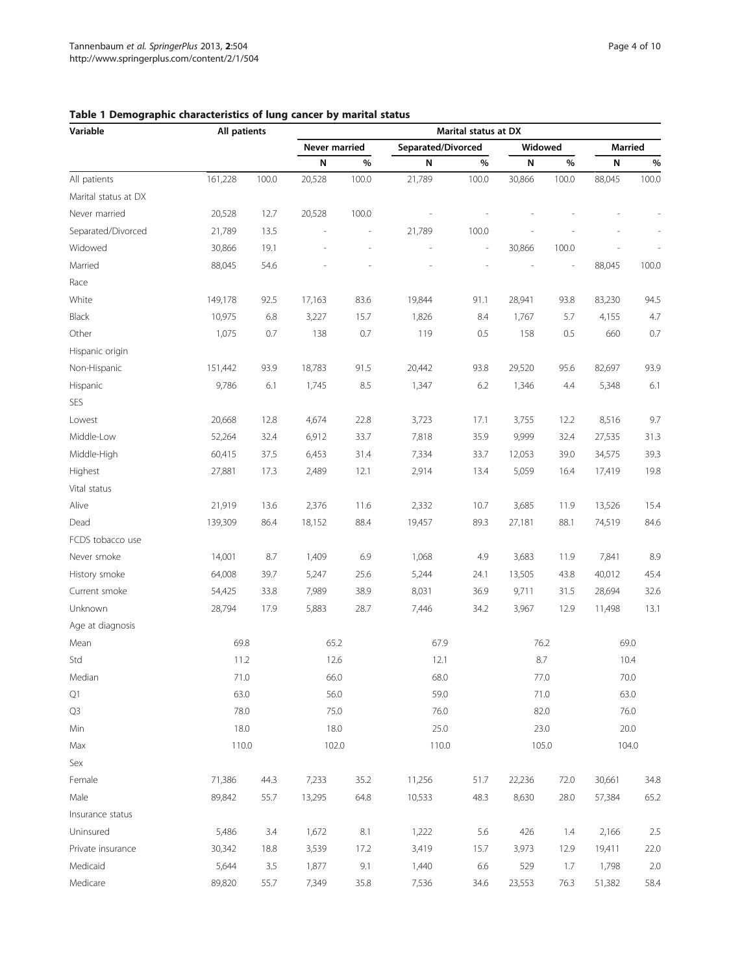| Variable             | All patients |       | Marital status at DX     |       |                    |                |           |       |                |       |  |  |
|----------------------|--------------|-------|--------------------------|-------|--------------------|----------------|-----------|-------|----------------|-------|--|--|
|                      |              |       | Never married            |       | Separated/Divorced |                | Widowed   |       | <b>Married</b> |       |  |  |
|                      |              |       | N                        | $\%$  | ${\sf N}$          | %              | ${\sf N}$ | $\%$  | N              | $\%$  |  |  |
| All patients         | 161,228      | 100.0 | 20,528                   | 100.0 | 21,789             | 100.0          | 30,866    | 100.0 | 88,045         | 100.0 |  |  |
| Marital status at DX |              |       |                          |       |                    |                |           |       |                |       |  |  |
| Never married        | 20,528       | 12.7  | 20,528                   | 100.0 |                    |                |           |       |                |       |  |  |
| Separated/Divorced   | 21,789       | 13.5  | $\overline{\phantom{a}}$ | i,    | 21,789             | 100.0          |           |       |                |       |  |  |
| Widowed              | 30,866       | 19.1  |                          |       |                    | $\overline{a}$ | 30,866    | 100.0 |                |       |  |  |
| Married              | 88,045       | 54.6  |                          |       |                    |                |           |       | 88,045         | 100.0 |  |  |
| Race                 |              |       |                          |       |                    |                |           |       |                |       |  |  |
| White                | 149,178      | 92.5  | 17,163                   | 83.6  | 19,844             | 91.1           | 28,941    | 93.8  | 83,230         | 94.5  |  |  |
| Black                | 10,975       | 6.8   | 3,227                    | 15.7  | 1,826              | 8.4            | 1,767     | 5.7   | 4,155          | 4.7   |  |  |
| Other                | 1,075        | 0.7   | 138                      | 0.7   | 119                | 0.5            | 158       | 0.5   | 660            | 0.7   |  |  |
| Hispanic origin      |              |       |                          |       |                    |                |           |       |                |       |  |  |
| Non-Hispanic         | 151,442      | 93.9  | 18,783                   | 91.5  | 20,442             | 93.8           | 29,520    | 95.6  | 82,697         | 93.9  |  |  |
| Hispanic             | 9,786        | 6.1   | 1,745                    | 8.5   | 1,347              | 6.2            | 1,346     | 4.4   | 5,348          | 6.1   |  |  |
| <b>SES</b>           |              |       |                          |       |                    |                |           |       |                |       |  |  |
| Lowest               | 20,668       | 12.8  | 4,674                    | 22.8  | 3,723              | 17.1           | 3,755     | 12.2  | 8,516          | 9.7   |  |  |
| Middle-Low           | 52,264       | 32.4  | 6,912                    | 33.7  | 7,818              | 35.9           | 9,999     | 32.4  | 27,535         | 31.3  |  |  |
| Middle-High          | 60,415       | 37.5  | 6,453                    | 31.4  | 7,334              | 33.7           | 12,053    | 39.0  | 34,575         | 39.3  |  |  |
| Highest              | 27,881       | 17.3  | 2,489                    | 12.1  | 2,914              | 13.4           | 5,059     | 16.4  | 17,419         | 19.8  |  |  |
| Vital status         |              |       |                          |       |                    |                |           |       |                |       |  |  |
| Alive                | 21,919       | 13.6  | 2,376                    | 11.6  | 2,332              | 10.7           | 3,685     | 11.9  | 13,526         | 15.4  |  |  |
| Dead                 | 139,309      | 86.4  | 18,152                   | 88.4  | 19,457             | 89.3           | 27,181    | 88.1  | 74,519         | 84.6  |  |  |
| FCDS tobacco use     |              |       |                          |       |                    |                |           |       |                |       |  |  |
| Never smoke          | 14,001       | 8.7   | 1,409                    | 6.9   | 1,068              | 4.9            | 3,683     | 11.9  | 7,841          | 8.9   |  |  |
| History smoke        | 64,008       | 39.7  | 5,247                    | 25.6  | 5,244              | 24.1           | 13,505    | 43.8  | 40,012         | 45.4  |  |  |
| Current smoke        | 54,425       | 33.8  | 7,989                    | 38.9  | 8,031              | 36.9           | 9,711     | 31.5  | 28,694         | 32.6  |  |  |
| Unknown              | 28,794       | 17.9  | 5,883                    | 28.7  | 7,446              | 34.2           | 3,967     | 12.9  | 11,498         | 13.1  |  |  |
| Age at diagnosis     |              |       |                          |       |                    |                |           |       |                |       |  |  |
| Mean                 | 69.8         |       | 65.2                     |       | 67.9               |                | 76.2      |       | 69.0           |       |  |  |
| Std                  | 11.2         |       | 12.6                     |       | 12.1               |                | $8.7\,$   |       | 10.4           |       |  |  |
| Median               | 71.0         |       | 66.0                     |       | 68.0               |                | 77.0      |       | 70.0           |       |  |  |
| Q1                   | 63.0         |       | 56.0                     |       | 59.0               |                | 71.0      |       | 63.0           |       |  |  |
| Q3                   | 78.0         |       | 75.0                     |       | 76.0               |                | 82.0      |       | 76.0           |       |  |  |
| Min                  | 18.0         |       | 18.0                     |       | 25.0               |                | 23.0      |       | 20.0           |       |  |  |
| Max                  | 110.0        |       | 102.0                    |       | 110.0              |                | 105.0     |       | 104.0          |       |  |  |
| Sex                  |              |       |                          |       |                    |                |           |       |                |       |  |  |
| Female               | 71,386       | 44.3  | 7,233                    | 35.2  | 11,256             | 51.7           | 22,236    | 72.0  | 30,661         | 34.8  |  |  |
| Male                 | 89,842       | 55.7  | 13,295                   | 64.8  | 10,533             | 48.3           | 8,630     | 28.0  | 57,384         | 65.2  |  |  |
| Insurance status     |              |       |                          |       |                    |                |           |       |                |       |  |  |
| Uninsured            | 5,486        | 3.4   | 1,672                    | 8.1   | 1,222              | 5.6            | 426       | 1.4   | 2,166          | 2.5   |  |  |
| Private insurance    | 30,342       | 18.8  | 3,539                    | 17.2  | 3,419              | 15.7           | 3,973     | 12.9  | 19,411         | 22.0  |  |  |
| Medicaid             | 5,644        | 3.5   | 1,877                    | 9.1   | 1,440              | 6.6            | 529       | 1.7   | 1,798          | 2.0   |  |  |
| Medicare             | 89,820       | 55.7  | 7,349                    | 35.8  | 7,536              | 34.6           | 23,553    | 76.3  | 51,382         | 58.4  |  |  |

# <span id="page-3-0"></span>Table 1 Demographic characteristics of lung cancer by marital status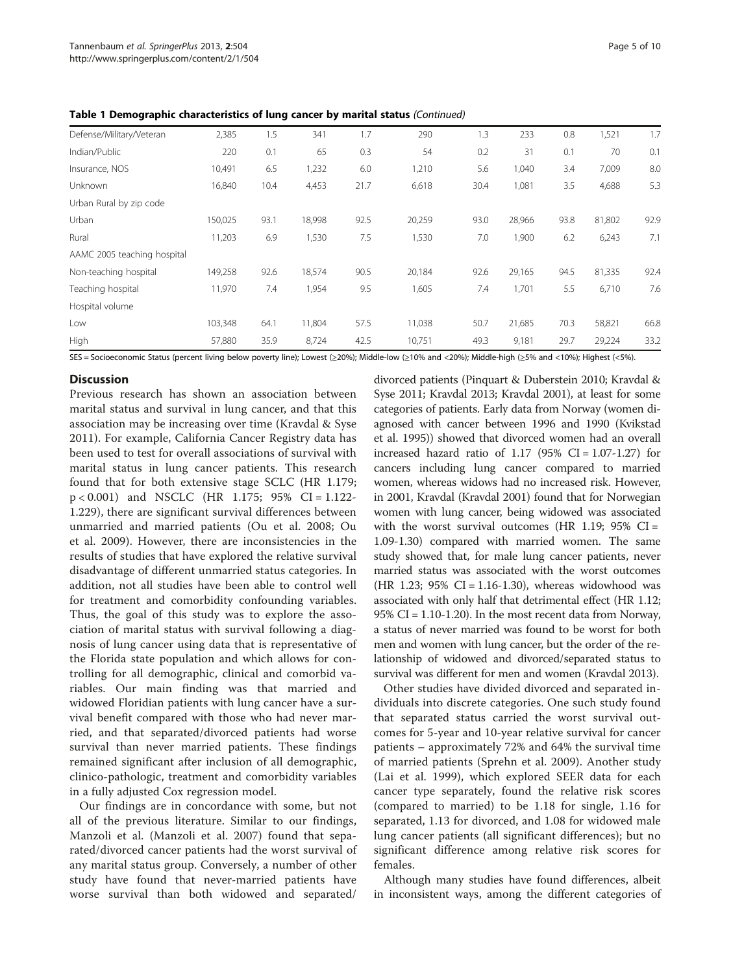| Defense/Military/Veteran    | 2,385   | 1.5  | 341    | 1.7  | 290    | 1.3  | 233    | 0.8  | 1,521  | 1.7  |
|-----------------------------|---------|------|--------|------|--------|------|--------|------|--------|------|
| Indian/Public               | 220     | 0.1  | 65     | 0.3  | 54     | 0.2  | 31     | 0.1  | 70     | 0.1  |
| Insurance, NOS              | 10,491  | 6.5  | 1,232  | 6.0  | 1,210  | 5.6  | 1,040  | 3.4  | 7,009  | 8.0  |
| Unknown                     | 16,840  | 10.4 | 4,453  | 21.7 | 6,618  | 30.4 | 1,081  | 3.5  | 4,688  | 5.3  |
| Urban Rural by zip code     |         |      |        |      |        |      |        |      |        |      |
| Urban                       | 150,025 | 93.1 | 18,998 | 92.5 | 20,259 | 93.0 | 28,966 | 93.8 | 81,802 | 92.9 |
| Rural                       | 11,203  | 6.9  | 1,530  | 7.5  | 1,530  | 7.0  | 1,900  | 6.2  | 6,243  | 7.1  |
| AAMC 2005 teaching hospital |         |      |        |      |        |      |        |      |        |      |
| Non-teaching hospital       | 149,258 | 92.6 | 18,574 | 90.5 | 20,184 | 92.6 | 29,165 | 94.5 | 81,335 | 92.4 |
| Teaching hospital           | 11,970  | 7.4  | 1,954  | 9.5  | 1,605  | 7.4  | 1,701  | 5.5  | 6,710  | 7.6  |
| Hospital volume             |         |      |        |      |        |      |        |      |        |      |
| Low                         | 103,348 | 64.1 | 11,804 | 57.5 | 11,038 | 50.7 | 21,685 | 70.3 | 58,821 | 66.8 |
| High                        | 57,880  | 35.9 | 8,724  | 42.5 | 10,751 | 49.3 | 9,181  | 29.7 | 29,224 | 33.2 |

Table 1 Demographic characteristics of lung cancer by marital status (Continued)

SES = Socioeconomic Status (percent living below poverty line); Lowest (≥20%); Middle-low (≥10% and <20%); Middle-high (≥5% and <10%); Highest (<5%).

# **Discussion**

Previous research has shown an association between marital status and survival in lung cancer, and that this association may be increasing over time (Kravdal & Syse [2011\)](#page-8-0). For example, California Cancer Registry data has been used to test for overall associations of survival with marital status in lung cancer patients. This research found that for both extensive stage SCLC (HR 1.179; p < 0.001) and NSCLC (HR 1.175; 95% CI = 1.122- 1.229), there are significant survival differences between unmarried and married patients (Ou et al. [2008](#page-9-0); Ou et al. [2009](#page-9-0)). However, there are inconsistencies in the results of studies that have explored the relative survival disadvantage of different unmarried status categories. In addition, not all studies have been able to control well for treatment and comorbidity confounding variables. Thus, the goal of this study was to explore the association of marital status with survival following a diagnosis of lung cancer using data that is representative of the Florida state population and which allows for controlling for all demographic, clinical and comorbid variables. Our main finding was that married and widowed Floridian patients with lung cancer have a survival benefit compared with those who had never married, and that separated/divorced patients had worse survival than never married patients. These findings remained significant after inclusion of all demographic, clinico-pathologic, treatment and comorbidity variables in a fully adjusted Cox regression model.

Our findings are in concordance with some, but not all of the previous literature. Similar to our findings, Manzoli et al. (Manzoli et al. [2007\)](#page-8-0) found that separated/divorced cancer patients had the worst survival of any marital status group. Conversely, a number of other study have found that never-married patients have worse survival than both widowed and separated/

divorced patients (Pinquart & Duberstein [2010](#page-9-0); Kravdal & Syse [2011;](#page-8-0) Kravdal [2013](#page-8-0); Kravdal [2001\)](#page-8-0), at least for some categories of patients. Early data from Norway (women diagnosed with cancer between 1996 and 1990 (Kvikstad et al. [1995](#page-8-0))) showed that divorced women had an overall increased hazard ratio of  $1.17$  (95% CI =  $1.07-1.27$ ) for cancers including lung cancer compared to married women, whereas widows had no increased risk. However, in 2001, Kravdal (Kravdal [2001](#page-8-0)) found that for Norwegian women with lung cancer, being widowed was associated with the worst survival outcomes (HR 1.19;  $95\%$  CI = 1.09-1.30) compared with married women. The same study showed that, for male lung cancer patients, never married status was associated with the worst outcomes (HR 1.23;  $95\%$  CI = 1.16-1.30), whereas widowhood was associated with only half that detrimental effect (HR 1.12; 95% CI = 1.10-1.20). In the most recent data from Norway, a status of never married was found to be worst for both men and women with lung cancer, but the order of the relationship of widowed and divorced/separated status to survival was different for men and women (Kravdal [2013\)](#page-8-0).

Other studies have divided divorced and separated individuals into discrete categories. One such study found that separated status carried the worst survival outcomes for 5-year and 10-year relative survival for cancer patients – approximately 72% and 64% the survival time of married patients (Sprehn et al. [2009](#page-9-0)). Another study (Lai et al. [1999](#page-8-0)), which explored SEER data for each cancer type separately, found the relative risk scores (compared to married) to be 1.18 for single, 1.16 for separated, 1.13 for divorced, and 1.08 for widowed male lung cancer patients (all significant differences); but no significant difference among relative risk scores for females.

Although many studies have found differences, albeit in inconsistent ways, among the different categories of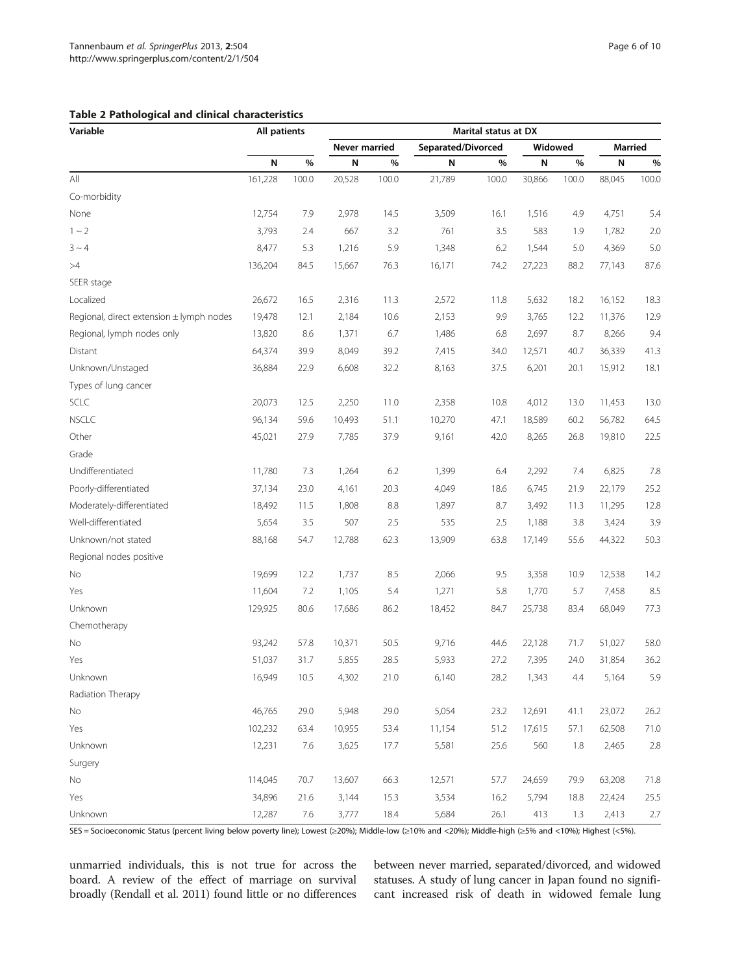<span id="page-5-0"></span>

| <b>Table 2 Pathological and clinical characteristics</b> |  |  |  |
|----------------------------------------------------------|--|--|--|
|----------------------------------------------------------|--|--|--|

| Variable                                 | All patients |       | Marital status at DX |       |        |                    |        |         |        |                |  |  |
|------------------------------------------|--------------|-------|----------------------|-------|--------|--------------------|--------|---------|--------|----------------|--|--|
|                                          |              |       | Never married        |       |        | Separated/Divorced |        | Widowed |        | <b>Married</b> |  |  |
|                                          | N            | %     | N                    | %     | N      | %                  | N      | %       | N      | %              |  |  |
| All                                      | 161,228      | 100.0 | 20,528               | 100.0 | 21,789 | 100.0              | 30,866 | 100.0   | 88,045 | 100.0          |  |  |
| Co-morbidity                             |              |       |                      |       |        |                    |        |         |        |                |  |  |
| None                                     | 12,754       | 7.9   | 2,978                | 14.5  | 3,509  | 16.1               | 1,516  | 4.9     | 4,751  | 5.4            |  |  |
| $1 - 2$                                  | 3,793        | 2.4   | 667                  | 3.2   | 761    | 3.5                | 583    | 1.9     | 1,782  | 2.0            |  |  |
| $3 \sim 4$                               | 8,477        | 5.3   | 1,216                | 5.9   | 1,348  | 6.2                | 1,544  | 5.0     | 4,369  | 5.0            |  |  |
| >4                                       | 136,204      | 84.5  | 15,667               | 76.3  | 16,171 | 74.2               | 27,223 | 88.2    | 77,143 | 87.6           |  |  |
| SEER stage                               |              |       |                      |       |        |                    |        |         |        |                |  |  |
| Localized                                | 26,672       | 16.5  | 2,316                | 11.3  | 2,572  | 11.8               | 5,632  | 18.2    | 16,152 | 18.3           |  |  |
| Regional, direct extension ± lymph nodes | 19,478       | 12.1  | 2,184                | 10.6  | 2,153  | 9.9                | 3,765  | 12.2    | 11,376 | 12.9           |  |  |
| Regional, lymph nodes only               | 13,820       | 8.6   | 1,371                | 6.7   | 1,486  | 6.8                | 2,697  | 8.7     | 8,266  | 9.4            |  |  |
| Distant                                  | 64,374       | 39.9  | 8,049                | 39.2  | 7,415  | 34.0               | 12,571 | 40.7    | 36,339 | 41.3           |  |  |
| Unknown/Unstaged                         | 36,884       | 22.9  | 6,608                | 32.2  | 8,163  | 37.5               | 6,201  | 20.1    | 15,912 | 18.1           |  |  |
| Types of lung cancer                     |              |       |                      |       |        |                    |        |         |        |                |  |  |
| SCLC                                     | 20,073       | 12.5  | 2,250                | 11.0  | 2,358  | 10.8               | 4,012  | 13.0    | 11,453 | 13.0           |  |  |
| <b>NSCLC</b>                             | 96,134       | 59.6  | 10,493               | 51.1  | 10,270 | 47.1               | 18,589 | 60.2    | 56,782 | 64.5           |  |  |
| Other                                    | 45,021       | 27.9  | 7,785                | 37.9  | 9,161  | 42.0               | 8,265  | 26.8    | 19,810 | 22.5           |  |  |
| Grade                                    |              |       |                      |       |        |                    |        |         |        |                |  |  |
| Undifferentiated                         | 11,780       | 7.3   | 1,264                | 6.2   | 1,399  | 6.4                | 2,292  | 7.4     | 6,825  | 7.8            |  |  |
| Poorly-differentiated                    | 37,134       | 23.0  | 4,161                | 20.3  | 4,049  | 18.6               | 6,745  | 21.9    | 22,179 | 25.2           |  |  |
| Moderately-differentiated                | 18,492       | 11.5  | 1,808                | 8.8   | 1,897  | 8.7                | 3,492  | 11.3    | 11,295 | 12.8           |  |  |
| Well-differentiated                      | 5,654        | 3.5   | 507                  | 2.5   | 535    | 2.5                | 1,188  | 3.8     | 3,424  | 3.9            |  |  |
| Unknown/not stated                       | 88,168       | 54.7  | 12,788               | 62.3  | 13,909 | 63.8               | 17,149 | 55.6    | 44,322 | 50.3           |  |  |
| Regional nodes positive                  |              |       |                      |       |        |                    |        |         |        |                |  |  |
| No                                       | 19,699       | 12.2  | 1,737                | 8.5   | 2,066  | 9.5                | 3,358  | 10.9    | 12,538 | 14.2           |  |  |
| Yes                                      | 11,604       | 7.2   | 1,105                | 5.4   | 1,271  | 5.8                | 1,770  | 5.7     | 7,458  | 8.5            |  |  |
| Unknown                                  | 129,925      | 80.6  | 17,686               | 86.2  | 18,452 | 84.7               | 25,738 | 83.4    | 68,049 | 77.3           |  |  |
| Chemotherapy                             |              |       |                      |       |        |                    |        |         |        |                |  |  |
| No                                       | 93,242       | 57.8  | 10,371               | 50.5  | 9,716  | 44.6               | 22,128 | 71.7    | 51,027 | 58.0           |  |  |
| Yes                                      | 51,037       | 31.7  | 5,855                | 28.5  | 5,933  | 27.2               | 7,395  | 24.0    | 31,854 | 36.2           |  |  |
| Unknown                                  | 16,949       | 10.5  | 4,302                | 21.0  | 6,140  | 28.2               | 1,343  | 4.4     | 5,164  | 5.9            |  |  |
| Radiation Therapy                        |              |       |                      |       |        |                    |        |         |        |                |  |  |
| No                                       | 46,765       | 29.0  | 5,948                | 29.0  | 5,054  | 23.2               | 12,691 | 41.1    | 23,072 | 26.2           |  |  |
| Yes                                      | 102,232      | 63.4  | 10,955               | 53.4  | 11,154 | 51.2               | 17,615 | 57.1    | 62,508 | 71.0           |  |  |
| Unknown                                  | 12,231       | 7.6   | 3,625                | 17.7  | 5,581  | 25.6               | 560    | 1.8     | 2,465  | $2.8\,$        |  |  |
| Surgery                                  |              |       |                      |       |        |                    |        |         |        |                |  |  |
| $\rm No$                                 | 114,045      | 70.7  | 13,607               | 66.3  | 12,571 | 57.7               | 24,659 | 79.9    | 63,208 | 71.8           |  |  |
| Yes                                      | 34,896       | 21.6  | 3,144                | 15.3  | 3,534  | 16.2               | 5,794  | 18.8    | 22,424 | 25.5           |  |  |
| Unknown                                  | 12,287       | 7.6   | 3,777                | 18.4  | 5,684  | 26.1               | 413    | 1.3     | 2,413  | 2.7            |  |  |

SES = Socioeconomic Status (percent living below poverty line); Lowest (≥20%); Middle-low (≥10% and <20%); Middle-high (≥5% and <10%); Highest (<5%).

unmarried individuals, this is not true for across the board. A review of the effect of marriage on survival broadly (Rendall et al. [2011\)](#page-9-0) found little or no differences between never married, separated/divorced, and widowed statuses. A study of lung cancer in Japan found no significant increased risk of death in widowed female lung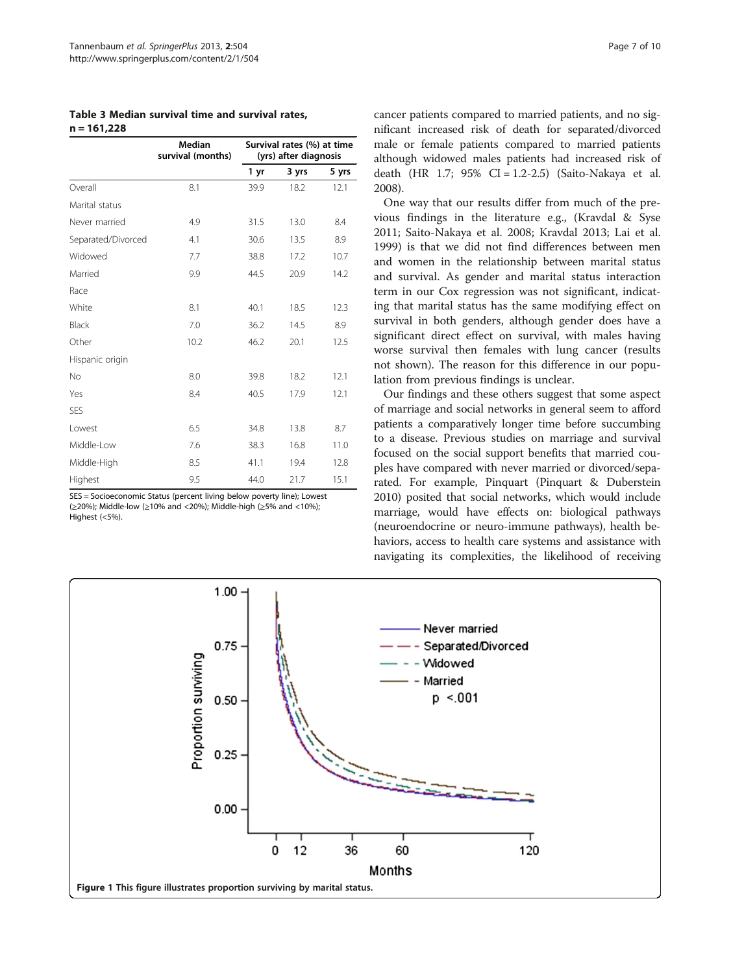<span id="page-6-0"></span>Table 3 Median survival time and survival rates,  $n = 161,228$ 

|                    | Median<br>survival (months) |      | Survival rates (%) at time<br>(yrs) after diagnosis |       |
|--------------------|-----------------------------|------|-----------------------------------------------------|-------|
|                    |                             | 1 yr | 3 yrs                                               | 5 yrs |
| Overall            | 8.1                         | 39.9 | 18.2                                                | 12.1  |
| Marital status     |                             |      |                                                     |       |
| Never married      | 4.9                         | 31.5 | 13.0                                                | 8.4   |
| Separated/Divorced | 4.1                         | 30.6 | 13.5                                                | 8.9   |
| Widowed            | 7.7                         | 38.8 | 17.2                                                | 10.7  |
| Married            | 9.9                         | 44.5 | 20.9                                                | 14.2  |
| Race               |                             |      |                                                     |       |
| White              | 8.1                         | 40.1 | 18.5                                                | 12.3  |
| Black              | 7.0                         | 36.2 | 14.5                                                | 8.9   |
| Other              | 10.2                        | 46.2 | 20.1                                                | 12.5  |
| Hispanic origin    |                             |      |                                                     |       |
| <b>No</b>          | 8.0                         | 39.8 | 18.2                                                | 12.1  |
| Yes                | 8.4                         | 40.5 | 17.9                                                | 12.1  |
| <b>SES</b>         |                             |      |                                                     |       |
| Lowest             | 6.5                         | 34.8 | 13.8                                                | 8.7   |
| Middle-Low         | 7.6                         | 38.3 | 16.8                                                | 11.0  |
| Middle-High        | 8.5                         | 41.1 | 19.4                                                | 12.8  |
| Highest            | 9.5                         | 44.0 | 21.7                                                | 15.1  |

SES = Socioeconomic Status (percent living below poverty line); Lowest (≥20%); Middle-low (≥10% and <20%); Middle-high (≥5% and <10%); Highest (<5%).

cancer patients compared to married patients, and no significant increased risk of death for separated/divorced male or female patients compared to married patients although widowed males patients had increased risk of death (HR 1.7; 95% CI = 1.2-2.5) (Saito-Nakaya et al. [2008](#page-9-0)).

One way that our results differ from much of the previous findings in the literature e.g., (Kravdal & Syse [2011](#page-8-0); Saito-Nakaya et al. [2008](#page-9-0); Kravdal [2013;](#page-8-0) Lai et al. [1999](#page-8-0)) is that we did not find differences between men and women in the relationship between marital status and survival. As gender and marital status interaction term in our Cox regression was not significant, indicating that marital status has the same modifying effect on survival in both genders, although gender does have a significant direct effect on survival, with males having worse survival then females with lung cancer (results not shown). The reason for this difference in our population from previous findings is unclear.

Our findings and these others suggest that some aspect of marriage and social networks in general seem to afford patients a comparatively longer time before succumbing to a disease. Previous studies on marriage and survival focused on the social support benefits that married couples have compared with never married or divorced/separated. For example, Pinquart (Pinquart & Duberstein [2010](#page-9-0)) posited that social networks, which would include marriage, would have effects on: biological pathways (neuroendocrine or neuro-immune pathways), health behaviors, access to health care systems and assistance with navigating its complexities, the likelihood of receiving

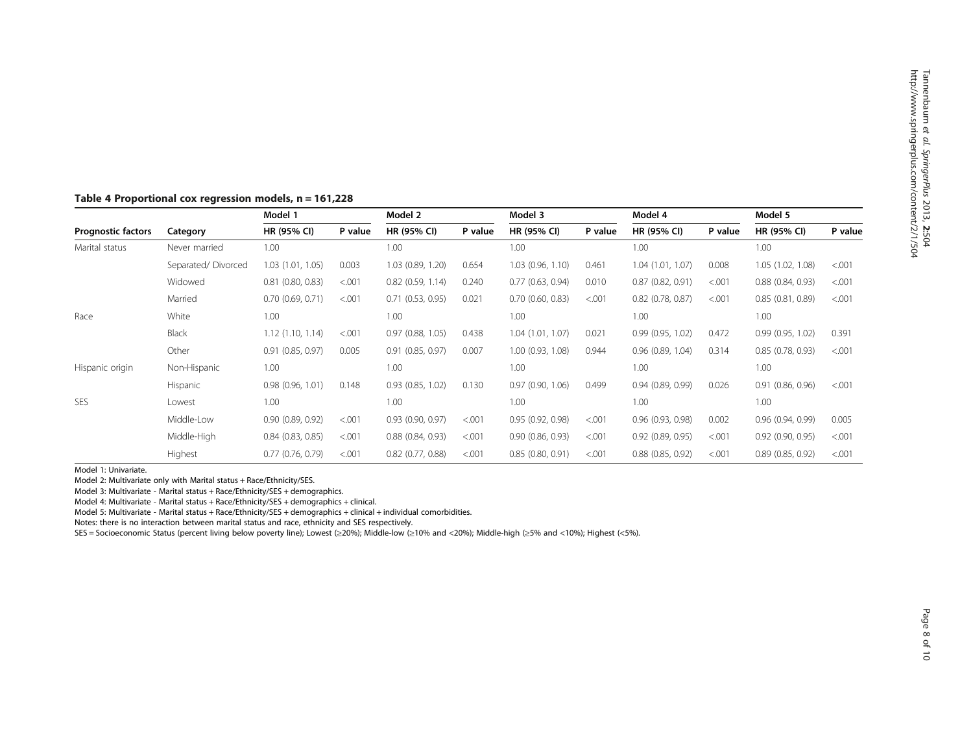# <span id="page-7-0"></span>Table 4 Proportional cox regression models, n = 161,228

|                           |                    | Model 1               |         | Model 2               |         | Model 3               |         | Model 4               |         | Model 5             |         |
|---------------------------|--------------------|-----------------------|---------|-----------------------|---------|-----------------------|---------|-----------------------|---------|---------------------|---------|
| <b>Prognostic factors</b> | Category           | HR (95% CI)           | P value | HR (95% CI)           | P value | HR (95% CI)           | P value | HR (95% CI)           | P value | HR (95% CI)         | P value |
| Marital status            | Never married      | 1.00                  |         | 1.00                  |         | 1.00                  |         | 1.00                  |         | 1.00                |         |
|                           | Separated/Divorced | 1.03 (1.01, 1.05)     | 0.003   | 1.03 (0.89, 1.20)     | 0.654   | 1.03(0.96, 1.10)      | 0.461   | 1.04 (1.01, 1.07)     | 0.008   | 1.05 (1.02, 1.08)   | < 0.001 |
|                           | Widowed            | $0.81$ $(0.80, 0.83)$ | < .001  | $0.82$ $(0.59, 1.14)$ | 0.240   | 0.77(0.63, 0.94)      | 0.010   | 0.87(0.82, 0.91)      | < 0.001 | 0.88(0.84, 0.93)    | < 0.001 |
|                           | Married            | 0.70(0.69, 0.71)      | < .001  | 0.71(0.53, 0.95)      | 0.021   | $0.70$ $(0.60, 0.83)$ | < .001  | $0.82$ (0.78, 0.87)   | < 0.001 | 0.85(0.81, 0.89)    | < 0.001 |
| Race                      | White              | 1.00                  |         | 1.00                  |         | 1.00                  |         | 1.00                  |         | 1.00                |         |
|                           | Black              | 1.12(1.10, 1.14)      | < .001  | $0.97$ $(0.88, 1.05)$ | 0.438   | 1.04(1.01, 1.07)      | 0.021   | 0.99(0.95, 1.02)      | 0.472   | 0.99(0.95, 1.02)    | 0.391   |
|                           | Other              | 0.91(0.85, 0.97)      | 0.005   | 0.91(0.85, 0.97)      | 0.007   | 1.00 (0.93, 1.08)     | 0.944   | $0.96$ $(0.89, 1.04)$ | 0.314   | 0.85(0.78, 0.93)    | < 0.001 |
| Hispanic origin           | Non-Hispanic       | 1.00                  |         | 1.00                  |         | 1.00                  |         | 1.00                  |         | 1.00                |         |
|                           | Hispanic           | 0.98(0.96, 1.01)      | 0.148   | $0.93$ $(0.85, 1.02)$ | 0.130   | 0.97(0.90, 1.06)      | 0.499   | 0.94(0.89, 0.99)      | 0.026   | 0.91(0.86, 0.96)    | < 0.001 |
| <b>SES</b>                | Lowest             | 1.00                  |         | 1.00                  |         | 1.00                  |         | 1.00                  |         | 1.00                |         |
|                           | Middle-Low         | 0.90(0.89, 0.92)      | < .001  | $0.93$ $(0.90, 0.97)$ | < 0.001 | 0.95(0.92, 0.98)      | < 0.001 | 0.96(0.93, 0.98)      | 0.002   | 0.96(0.94, 0.99)    | 0.005   |
|                           | Middle-High        | 0.84(0.83, 0.85)      | < 0.001 | 0.88(0.84, 0.93)      | < .001  | 0.90(0.86, 0.93)      | < 0.001 | 0.92(0.89, 0.95)      | < 0.001 | $0.92$ (0.90, 0.95) | < 0.001 |
|                           | Highest            | 0.77(0.76, 0.79)      | < .001  | $0.82$ (0.77, 0.88)   | < 0.001 | 0.85(0.80, 0.91)      | < .001  | $0.88$ $(0.85, 0.92)$ | < .001  | 0.89(0.85, 0.92)    | < 0.001 |

Model 1: Univariate.

Model 2: Multivariate only with Marital status + Race/Ethnicity/SES.

Model 3: Multivariate - Marital status + Race/Ethnicity/SES + demographics.

Model 4: Multivariate - Marital status + Race/Ethnicity/SES + demographics + clinical.

Model 5: Multivariate - Marital status + Race/Ethnicity/SES + demographics + clinical + individual comorbidities.

Notes: there is no interaction between marital status and race, ethnicity and SES respectively.

SES = Socioeconomic Status (percent living below poverty line); Lowest (≥20%); Middle-low (≥10% and <20%); Middle-high (≥5% and <10%); Highest (<5%).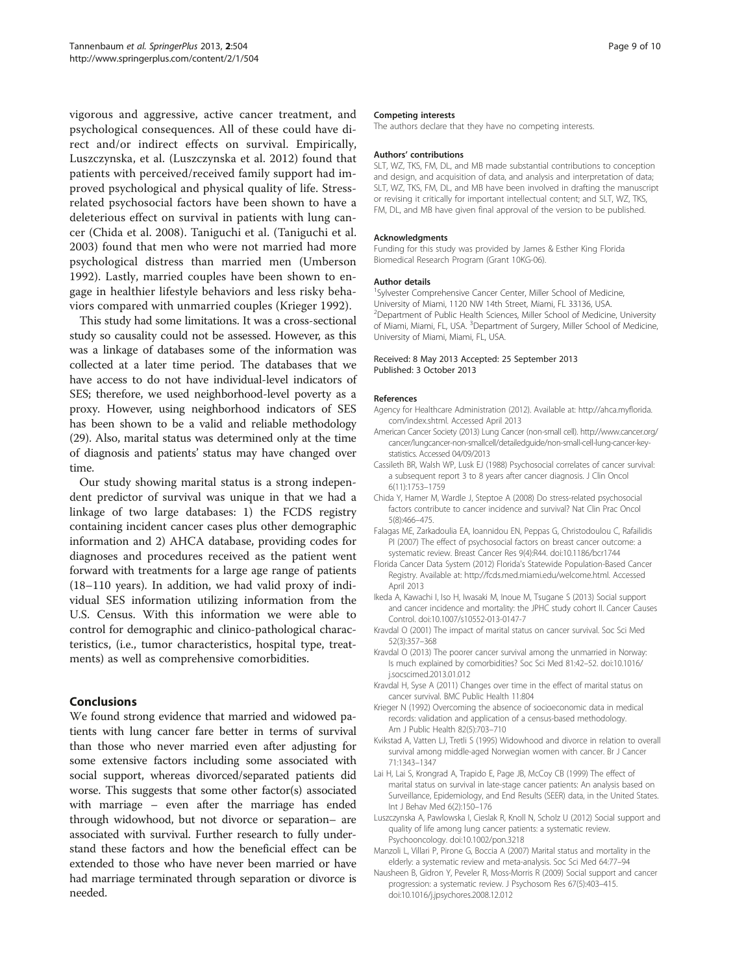<span id="page-8-0"></span>vigorous and aggressive, active cancer treatment, and psychological consequences. All of these could have direct and/or indirect effects on survival. Empirically, Luszczynska, et al. (Luszczynska et al. 2012) found that patients with perceived/received family support had improved psychological and physical quality of life. Stressrelated psychosocial factors have been shown to have a deleterious effect on survival in patients with lung cancer (Chida et al. 2008). Taniguchi et al. (Taniguchi et al. [2003\)](#page-9-0) found that men who were not married had more psychological distress than married men (Umberson [1992\)](#page-9-0). Lastly, married couples have been shown to engage in healthier lifestyle behaviors and less risky behaviors compared with unmarried couples (Krieger 1992).

This study had some limitations. It was a cross-sectional study so causality could not be assessed. However, as this was a linkage of databases some of the information was collected at a later time period. The databases that we have access to do not have individual-level indicators of SES; therefore, we used neighborhood-level poverty as a proxy. However, using neighborhood indicators of SES has been shown to be a valid and reliable methodology (29). Also, marital status was determined only at the time of diagnosis and patients' status may have changed over time.

Our study showing marital status is a strong independent predictor of survival was unique in that we had a linkage of two large databases: 1) the FCDS registry containing incident cancer cases plus other demographic information and 2) AHCA database, providing codes for diagnoses and procedures received as the patient went forward with treatments for a large age range of patients (18–110 years). In addition, we had valid proxy of individual SES information utilizing information from the U.S. Census. With this information we were able to control for demographic and clinico-pathological characteristics, (i.e., tumor characteristics, hospital type, treatments) as well as comprehensive comorbidities.

# Conclusions

We found strong evidence that married and widowed patients with lung cancer fare better in terms of survival than those who never married even after adjusting for some extensive factors including some associated with social support, whereas divorced/separated patients did worse. This suggests that some other factor(s) associated with marriage – even after the marriage has ended through widowhood, but not divorce or separation– are associated with survival. Further research to fully understand these factors and how the beneficial effect can be extended to those who have never been married or have had marriage terminated through separation or divorce is needed.

#### Competing interests

The authors declare that they have no competing interests.

#### Authors' contributions

SLT, WZ, TKS, FM, DL, and MB made substantial contributions to conception and design, and acquisition of data, and analysis and interpretation of data; SLT, WZ, TKS, FM, DL, and MB have been involved in drafting the manuscript or revising it critically for important intellectual content; and SLT, WZ, TKS, FM, DL, and MB have given final approval of the version to be published.

#### **Acknowledgments**

Funding for this study was provided by James & Esther King Florida Biomedical Research Program (Grant 10KG-06).

#### Author details

<sup>1</sup>Sylvester Comprehensive Cancer Center, Miller School of Medicine, University of Miami, 1120 NW 14th Street, Miami, FL 33136, USA. <sup>2</sup>Department of Public Health Sciences, Miller School of Medicine, University of Miami, Miami, FL, USA. <sup>3</sup>Department of Surgery, Miller School of Medicine University of Miami, Miami, FL, USA.

#### Received: 8 May 2013 Accepted: 25 September 2013 Published: 3 October 2013

#### References

- Agency for Healthcare Administration (2012). Available at: [http://ahca.myflorida.](http://ahca.myflorida.com/index.shtml) [com/index.shtml](http://ahca.myflorida.com/index.shtml). Accessed April 2013
- American Cancer Society (2013) Lung Cancer (non-small cell). [http://www.cancer.org/](http://www.cancer.org/cancer/lungcancer-non-smallcell/detailedguide/non-small-cell-lung-cancer-key-statistics) [cancer/lungcancer-non-smallcell/detailedguide/non-small-cell-lung-cancer-key](http://www.cancer.org/cancer/lungcancer-non-smallcell/detailedguide/non-small-cell-lung-cancer-key-statistics)[statistics.](http://www.cancer.org/cancer/lungcancer-non-smallcell/detailedguide/non-small-cell-lung-cancer-key-statistics) Accessed 04/09/2013
- Cassileth BR, Walsh WP, Lusk EJ (1988) Psychosocial correlates of cancer survival: a subsequent report 3 to 8 years after cancer diagnosis. J Clin Oncol 6(11):1753–1759
- Chida Y, Hamer M, Wardle J, Steptoe A (2008) Do stress-related psychosocial factors contribute to cancer incidence and survival? Nat Clin Prac Oncol 5(8):466–475.
- Falagas ME, Zarkadoulia EA, Ioannidou EN, Peppas G, Christodoulou C, Rafailidis PI (2007) The effect of psychosocial factors on breast cancer outcome: a systematic review. Breast Cancer Res 9(4):R44. doi:10.1186/bcr1744
- Florida Cancer Data System (2012) Florida's Statewide Population-Based Cancer Registry. Available at:<http://fcds.med.miami.edu/welcome.html>. Accessed April 2013
- Ikeda A, Kawachi I, Iso H, Iwasaki M, Inoue M, Tsugane S (2013) Social support and cancer incidence and mortality: the JPHC study cohort II. Cancer Causes Control. doi:10.1007/s10552-013-0147-7
- Kravdal O (2001) The impact of marital status on cancer survival. Soc Sci Med 52(3):357–368
- Kravdal O (2013) The poorer cancer survival among the unmarried in Norway: Is much explained by comorbidities? Soc Sci Med 81:42–52. doi:10.1016/ j.socscimed.2013.01.012
- Kravdal H, Syse A (2011) Changes over time in the effect of marital status on cancer survival. BMC Public Health 11:804
- Krieger N (1992) Overcoming the absence of socioeconomic data in medical records: validation and application of a census-based methodology. Am J Public Health 82(5):703–710
- Kvikstad A, Vatten LJ, Tretli S (1995) Widowhood and divorce in relation to overall survival among middle-aged Norwegian women with cancer. Br J Cancer 71:1343–1347
- Lai H, Lai S, Krongrad A, Trapido E, Page JB, McCoy CB (1999) The effect of marital status on survival in late-stage cancer patients: An analysis based on Surveillance, Epidemiology, and End Results (SEER) data, in the United States. Int J Behav Med 6(2):150–176
- Luszczynska A, Pawlowska I, Cieslak R, Knoll N, Scholz U (2012) Social support and quality of life among lung cancer patients: a systematic review. Psychooncology. doi:10.1002/pon.3218
- Manzoli L, Villari P, Pirone G, Boccia A (2007) Marital status and mortality in the elderly: a systematic review and meta-analysis. Soc Sci Med 64:77–94
- Nausheen B, Gidron Y, Peveler R, Moss-Morris R (2009) Social support and cancer progression: a systematic review. J Psychosom Res 67(5):403–415. doi:10.1016/j.jpsychores.2008.12.012